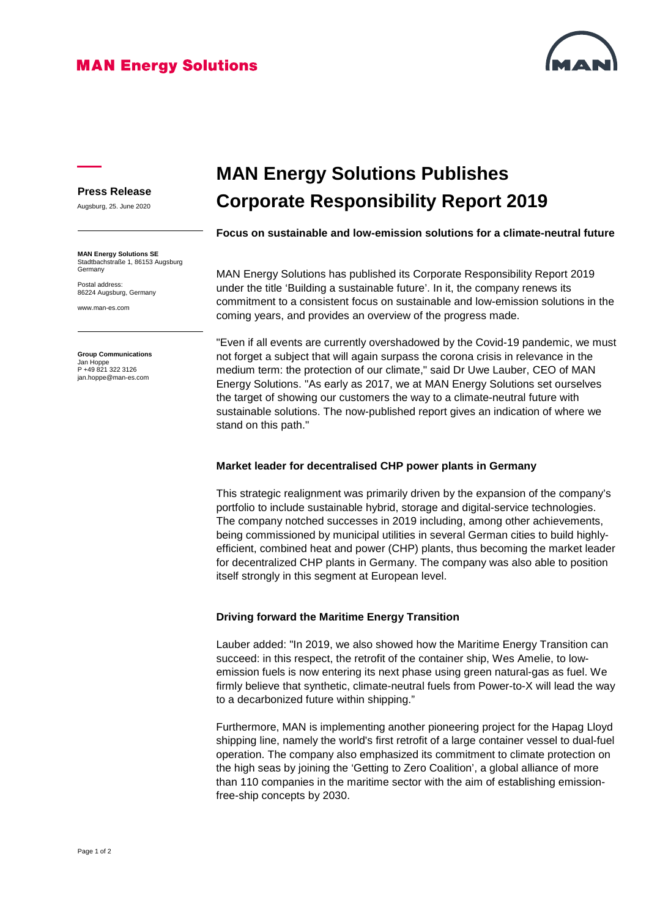## **MAN Energy Solutions**



#### **Press Release**

Augsburg, 25. June 2020

**MAN Energy Solutions SE** Stadtbachstraße 1, 86153 Augsburg Germany

Postal address: 86224 Augsburg, Germany

www.man-es.com

**Group Communications** Jan Hoppe P +49 821 322 3126 [jan.hoppe@man-es.com](mailto:jan.hoppe@man-es.com)

# **MAN Energy Solutions Publishes Corporate Responsibility Report 2019**

**Focus on sustainable and low-emission solutions for a climate-neutral future**

MAN Energy Solutions has published its Corporate Responsibility Report 2019 under the title 'Building a sustainable future'. In it, the company renews its commitment to a consistent focus on sustainable and low-emission solutions in the coming years, and provides an overview of the progress made.

"Even if all events are currently overshadowed by the Covid-19 pandemic, we must not forget a subject that will again surpass the corona crisis in relevance in the medium term: the protection of our climate," said Dr Uwe Lauber, CEO of MAN Energy Solutions. "As early as 2017, we at MAN Energy Solutions set ourselves the target of showing our customers the way to a climate-neutral future with sustainable solutions. The now-published report gives an indication of where we stand on this path."

## **Market leader for decentralised CHP power plants in Germany**

This strategic realignment was primarily driven by the expansion of the company's portfolio to include sustainable hybrid, storage and digital-service technologies. The company notched successes in 2019 including, among other achievements, being commissioned by municipal utilities in several German cities to build highlyefficient, combined heat and power (CHP) plants, thus becoming the market leader for decentralized CHP plants in Germany. The company was also able to position itself strongly in this segment at European level.

## **Driving forward the Maritime Energy Transition**

Lauber added: "In 2019, we also showed how the Maritime Energy Transition can succeed: in this respect, the retrofit of the container ship, Wes Amelie, to lowemission fuels is now entering its next phase using green natural-gas as fuel. We firmly believe that synthetic, climate-neutral fuels from Power-to-X will lead the way to a decarbonized future within shipping."

Furthermore, MAN is implementing another pioneering project for the Hapag Lloyd shipping line, namely the world's first retrofit of a large container vessel to dual-fuel operation. The company also emphasized its commitment to climate protection on the high seas by joining the 'Getting to Zero Coalition', a global alliance of more than 110 companies in the maritime sector with the aim of establishing emissionfree-ship concepts by 2030.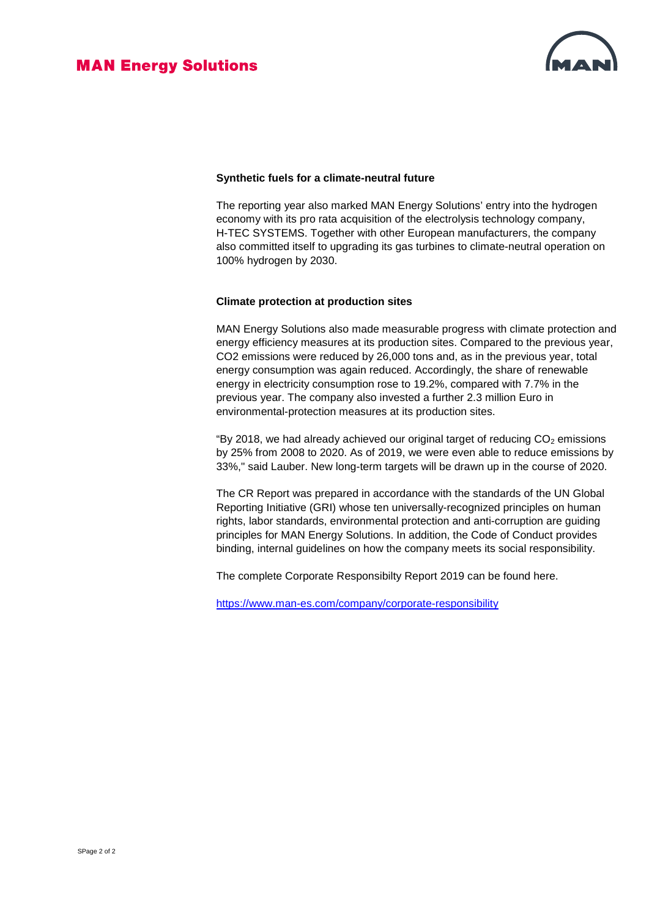

#### **Synthetic fuels for a climate-neutral future**

The reporting year also marked MAN Energy Solutions' entry into the hydrogen economy with its pro rata acquisition of the electrolysis technology company, H-TEC SYSTEMS. Together with other European manufacturers, the company also committed itself to upgrading its gas turbines to climate-neutral operation on 100% hydrogen by 2030.

#### **Climate protection at production sites**

MAN Energy Solutions also made measurable progress with climate protection and energy efficiency measures at its production sites. Compared to the previous year, CO2 emissions were reduced by 26,000 tons and, as in the previous year, total energy consumption was again reduced. Accordingly, the share of renewable energy in electricity consumption rose to 19.2%, compared with 7.7% in the previous year. The company also invested a further 2.3 million Euro in environmental-protection measures at its production sites.

"By 2018, we had already achieved our original target of reducing  $CO<sub>2</sub>$  emissions by 25% from 2008 to 2020. As of 2019, we were even able to reduce emissions by 33%," said Lauber. New long-term targets will be drawn up in the course of 2020.

The CR Report was prepared in accordance with the standards of the UN Global Reporting Initiative (GRI) whose ten universally-recognized principles on human rights, labor standards, environmental protection and anti-corruption are guiding principles for MAN Energy Solutions. In addition, the Code of Conduct provides binding, internal guidelines on how the company meets its social responsibility.

The complete Corporate Responsibilty Report 2019 can be found here.

<https://www.man-es.com/company/corporate-responsibility>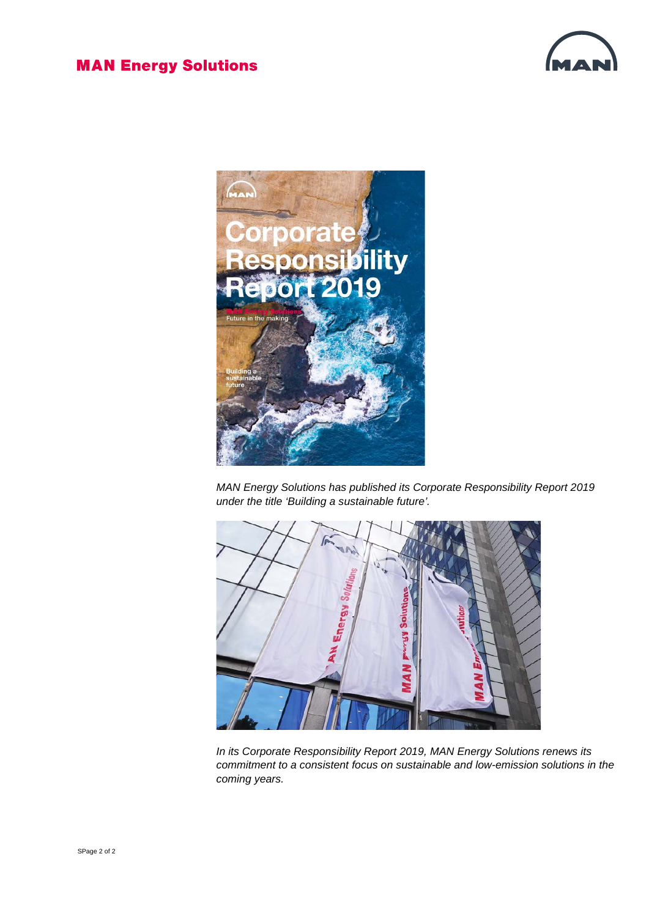



*MAN Energy Solutions has published its Corporate Responsibility Report 2019 under the title 'Building a sustainable future'.*



*In its Corporate Responsibility Report 2019, MAN Energy Solutions renews its commitment to a consistent focus on sustainable and low-emission solutions in the coming years.*